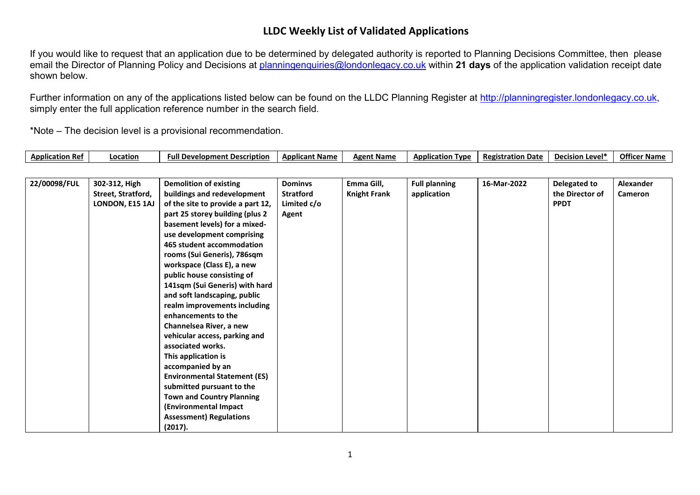## **LLDC Weekly List of Validated Applications**

If you would like to request that an application due to be determined by delegated authority is reported to Planning Decisions Committee, then please email the Director of Planning Policy and Decisions at [planningenquiries@londonlegacy.co.uk](mailto:planningenquiries@londonlegacy.co.uk) within **21 days** of the application validation receipt date shown below.

Further information on any of the applications listed below can be found on the LLDC Planning Register at [http://planningregister.londonlegacy.co.uk,](http://planningregister.londonlegacy.co.uk/) simply enter the full application reference number in the search field.

\*Note – The decision level is a provisional recommendation.

| <b>Application Ref</b> | .ocation | ∟ ovelopment Description יי<br>Full | * Name<br>Ann<br>лсапт | <b>Name</b><br>Δσρnt | Applicatior<br>Tvpe | <b>Registration Date</b> | , Leve'r<br>Decision | <b>Officer Name</b> |
|------------------------|----------|-------------------------------------|------------------------|----------------------|---------------------|--------------------------|----------------------|---------------------|
|------------------------|----------|-------------------------------------|------------------------|----------------------|---------------------|--------------------------|----------------------|---------------------|

| 22/00098/FUL | 302-312, High      | <b>Demolition of existing</b>       | <b>Dominys</b> | Emma Gill,          | <b>Full planning</b> | 16-Mar-2022 | Delegated to    | Alexander |
|--------------|--------------------|-------------------------------------|----------------|---------------------|----------------------|-------------|-----------------|-----------|
|              | Street, Stratford, | buildings and redevelopment         | Stratford      | <b>Knight Frank</b> | application          |             | the Director of | Cameron   |
|              | LONDON, E15 1AJ    | of the site to provide a part 12,   | Limited c/o    |                     |                      |             | <b>PPDT</b>     |           |
|              |                    | part 25 storey building (plus 2     | Agent          |                     |                      |             |                 |           |
|              |                    | basement levels) for a mixed-       |                |                     |                      |             |                 |           |
|              |                    | use development comprising          |                |                     |                      |             |                 |           |
|              |                    | 465 student accommodation           |                |                     |                      |             |                 |           |
|              |                    | rooms (Sui Generis), 786sqm         |                |                     |                      |             |                 |           |
|              |                    | workspace (Class E), a new          |                |                     |                      |             |                 |           |
|              |                    | public house consisting of          |                |                     |                      |             |                 |           |
|              |                    | 141sqm (Sui Generis) with hard      |                |                     |                      |             |                 |           |
|              |                    | and soft landscaping, public        |                |                     |                      |             |                 |           |
|              |                    | realm improvements including        |                |                     |                      |             |                 |           |
|              |                    | enhancements to the                 |                |                     |                      |             |                 |           |
|              |                    | Channelsea River, a new             |                |                     |                      |             |                 |           |
|              |                    | vehicular access, parking and       |                |                     |                      |             |                 |           |
|              |                    | associated works.                   |                |                     |                      |             |                 |           |
|              |                    | This application is                 |                |                     |                      |             |                 |           |
|              |                    | accompanied by an                   |                |                     |                      |             |                 |           |
|              |                    | <b>Environmental Statement (ES)</b> |                |                     |                      |             |                 |           |
|              |                    | submitted pursuant to the           |                |                     |                      |             |                 |           |
|              |                    | <b>Town and Country Planning</b>    |                |                     |                      |             |                 |           |
|              |                    | (Environmental Impact               |                |                     |                      |             |                 |           |
|              |                    | <b>Assessment) Regulations</b>      |                |                     |                      |             |                 |           |
|              |                    | (2017).                             |                |                     |                      |             |                 |           |